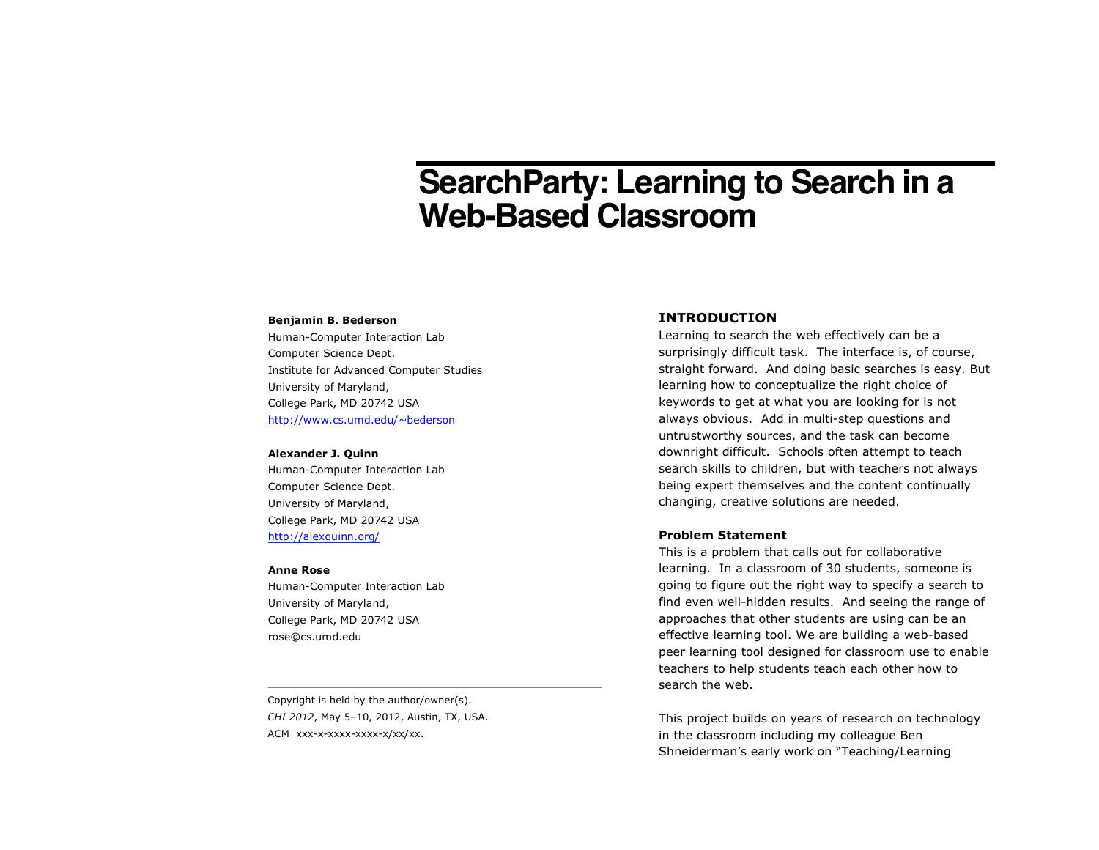# **SearchParty: Learning to Search in a Web-Based Classroom**

#### **Benjamin B. Bederson**

Human-Computer Interaction Lab Computer Science Dept. Institute for Advanced Computer Studies University of Maryland, College Park, MD 20742 USA http://www.cs.umd.edu/~bederson

#### **Alexander J. Quinn**

Human-Computer Interaction Lab Computer Science Dept. University of Maryland, College Park, MD 20742 USA http://alexquinn.org/

#### **Anne Rose**

Human-Computer Interaction Lab University of Maryland, College Park, MD 20742 USA rose@cs.umd.edu

Copyright is held by the author/owner(s). *CHI 2012*, May 5–10, 2012, Austin, TX, USA. ACM xxx-x-xxxx-xxxx-x/xx/xx.

# **INTRODUCTION**

Learning to search the web effectively can be a surprisingly difficult task. The interface is, of course, straight forward. And doing basic searches is easy. But learning how to conceptualize the right choice of keywords to get at what you are looking for is not always obvious. Add in multi-step questions and untrustworthy sources, and the task can become downright difficult. Schools often attempt to teach search skills to children, but with teachers not always being expert themselves and the content continually changing, creative solutions are needed.

# **Problem Statement**

This is a problem that calls out for collaborative learning. In a classroom of 30 students, someone is going to figure out the right way to specify a search to find even well-hidden results. And seeing the range of approaches that other students are using can be an effective learning tool. We are building a web-based peer learning tool designed for classroom use to enable teachers to help students teach each other how to search the web.

This project builds on years of research on technology in the classroom including my colleague Ben Shneiderman's early work on "Teaching/Learning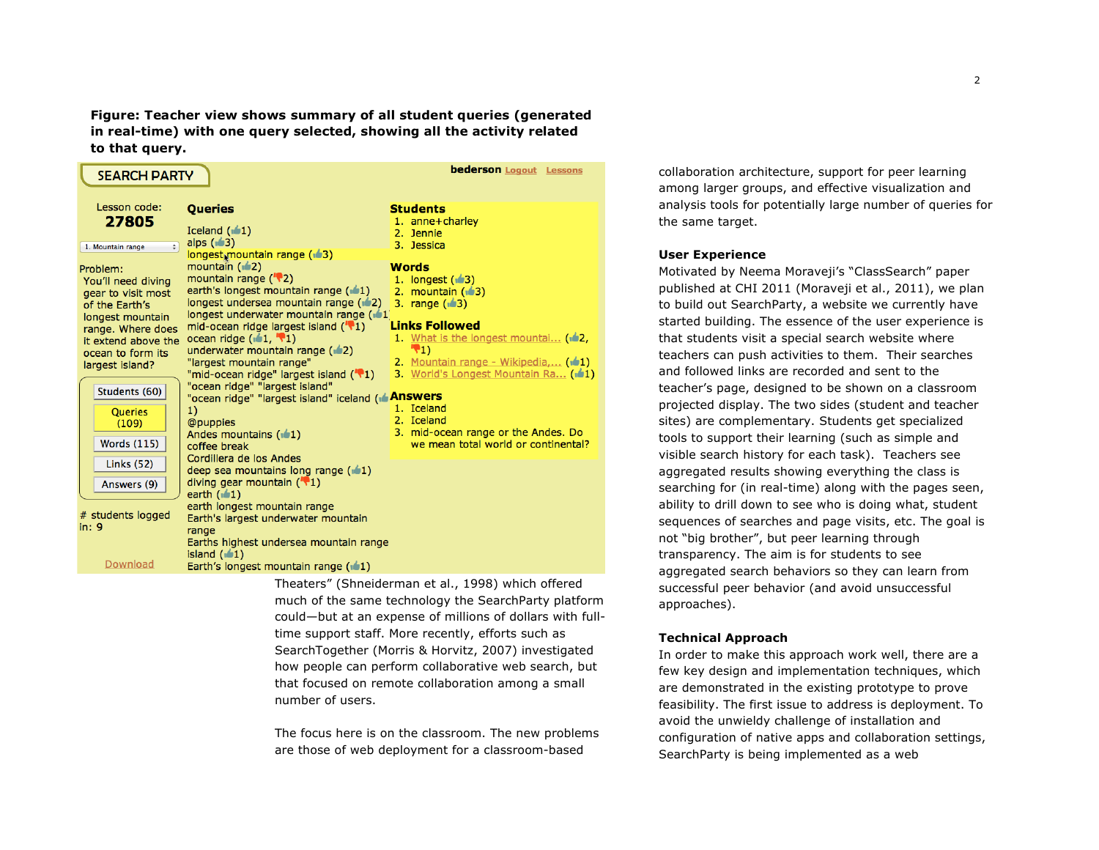**Figure: Teacher view shows summary of all student queries (generated in real-time) with one query selected, showing all the activity related to that query.** 

| <b>bederson Logout</b> Lessons<br><b>SEARCH PARTY</b>                                                                                                                                                                                                                                                                                        |                                                                                                                                                                                                                                                                                                                                                                                                                                                                                                                                                                                                                                                                                                                                                                                        |                                                                                                                                                                                                                                                                                                                                                                                                                                    |
|----------------------------------------------------------------------------------------------------------------------------------------------------------------------------------------------------------------------------------------------------------------------------------------------------------------------------------------------|----------------------------------------------------------------------------------------------------------------------------------------------------------------------------------------------------------------------------------------------------------------------------------------------------------------------------------------------------------------------------------------------------------------------------------------------------------------------------------------------------------------------------------------------------------------------------------------------------------------------------------------------------------------------------------------------------------------------------------------------------------------------------------------|------------------------------------------------------------------------------------------------------------------------------------------------------------------------------------------------------------------------------------------------------------------------------------------------------------------------------------------------------------------------------------------------------------------------------------|
| Lesson code:<br>27805<br>$\div$<br>1. Mountain range<br>Problem:<br>You'll need diving<br>gear to visit most<br>of the Earth's<br>longest mountain<br>range. Where does<br>it extend above the<br>ocean to form its<br>largest island?<br>Students (60)<br><b>Queries</b><br>(109)<br><b>Words (115)</b><br><b>Links (52)</b><br>Answers (9) | <b>Queries</b><br>Iceland $(1)$<br>alps $(1/3)$<br>longest mountain range (13)<br>mountain $(12)$<br>mountain range $('')2)$<br>earth's longest mountain range (11)<br>longest undersea mountain range (12)<br>longest underwater mountain range (11)<br>mid-ocean ridge largest island $(\sqrt[n]{1})$<br>ocean ridge $(\sqrt{1}, \sqrt[1]{2})$<br>underwater mountain range $(42)$<br>"largest mountain range"<br>"mid-ocean ridge" largest island ("\"1)<br>"ocean ridge" "largest island"<br>"ocean ridge" "largest island" iceland ( <b>Answers</b><br>1)<br>@puppies<br>Andes mountains (11)<br>coffee break<br>Cordillera de los Andes<br>deep sea mountains long range $(\pm 1)$<br>diving gear mountain $(\sqrt[n]{1})$<br>earth $(\sqrt{1})$<br>earth longest mountain range | <b>Students</b><br>1. anne+charley<br>2. Jennie<br>3. Jessica<br>Words<br>1. longest $(1/3)$<br>2. mountain $(\triangle 3)$<br>3. range $(\sqrt{3})$<br><b>Links Followed</b><br>1. What is the longest mountai (12,<br>$\mathbf{F}_{1}$<br>2. Mountain range - Wikipedia, (101)<br>3. World's Longest Mountain Ra (101)<br>1. Iceland<br>2. Iceland<br>3. mid-ocean range or the Andes. Do<br>we mean total world or continental? |
| # students logged<br>in: 9<br>Download                                                                                                                                                                                                                                                                                                       | Earth's largest underwater mountain<br>range<br>Earths highest undersea mountain range<br>island $(\pm 1)$<br>Earth's longest mountain range $(\pm 1)$                                                                                                                                                                                                                                                                                                                                                                                                                                                                                                                                                                                                                                 |                                                                                                                                                                                                                                                                                                                                                                                                                                    |

Theaters" (Shneiderman et al., 1998) which offered much of the same technology the SearchParty platform could—but at an expense of millions of dollars with fulltime support staff. More recently, efforts such as SearchTogether (Morris & Horvitz, 2007) investigated how people can perform collaborative web search, but that focused on remote collaboration among a small number of users.

The focus here is on the classroom. The new problems are those of web deployment for a classroom-based

collaboration architecture, support for peer learning among larger groups, and effective visualization and analysis tools for potentially large number of queries for the same target.

#### **User Experience**

Motivated by Neema Moraveji's "ClassSearch" paper published at CHI 2011 (Moraveji et al., 2011), we plan to build out SearchParty, a website we currently have started building. The essence of the user experience is that students visit a special search website where teachers can push activities to them. Their searches and followed links are recorded and sent to the teacher's page, designed to be shown on a classroom projected display. The two sides (student and teacher sites) are complementary. Students get specialized tools to support their learning (such as simple and visible search history for each task). Teachers see aggregated results showing everything the class is searching for (in real-time) along with the pages seen, ability to drill down to see who is doing what, student sequences of searches and page visits, etc. The goal is not "big brother", but peer learning through transparency. The aim is for students to see aggregated search behaviors so they can learn from successful peer behavior (and avoid unsuccessful approaches).

# **Technical Approach**

In order to make this approach work well, there are a few key design and implementation techniques, which are demonstrated in the existing prototype to prove feasibility. The first issue to address is deployment. To avoid the unwieldy challenge of installation and configuration of native apps and collaboration settings, SearchParty is being implemented as a web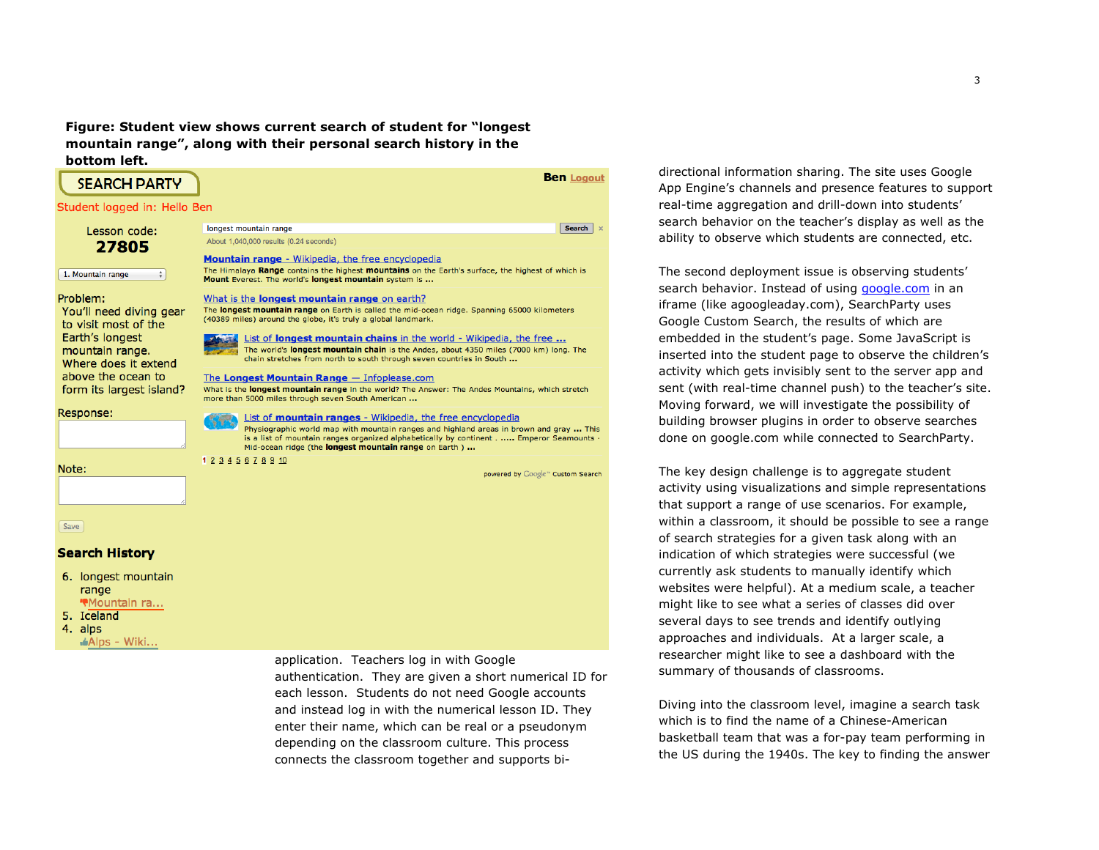**Figure: Student view shows current search of student for "longest mountain range", along with their personal search history in the bottom left.**



application. Teachers log in with Google authentication. They are given a short numerical ID for each lesson. Students do not need Google accounts and instead log in with the numerical lesson ID. They enter their name, which can be real or a pseudonym depending on the classroom culture. This process connects the classroom together and supports bi-

directional information sharing. The site uses Google App Engine's channels and presence features to support real-time aggregation and drill-down into students' search behavior on the teacher's display as well as the ability to observe which students are connected, etc.

The second deployment issue is observing students' search behavior. Instead of using google.com in an iframe (like agoogleaday.com), SearchParty uses Google Custom Search, the results of which are embedded in the student's page. Some JavaScript is inserted into the student page to observe the children's activity which gets invisibly sent to the server app and sent (with real-time channel push) to the teacher's site. Moving forward, we will investigate the possibility of building browser plugins in order to observe searches done on google.com while connected to SearchParty.

The key design challenge is to aggregate student activity using visualizations and simple representations that support a range of use scenarios. For example, within a classroom, it should be possible to see a range of search strategies for a given task along with an indication of which strategies were successful (we currently ask students to manually identify which websites were helpful). At a medium scale, a teacher might like to see what a series of classes did over several days to see trends and identify outlying approaches and individuals. At a larger scale, a researcher might like to see a dashboard with the summary of thousands of classrooms.

Diving into the classroom level, imagine a search task which is to find the name of a Chinese-American basketball team that was a for-pay team performing in the US during the 1940s. The key to finding the answer